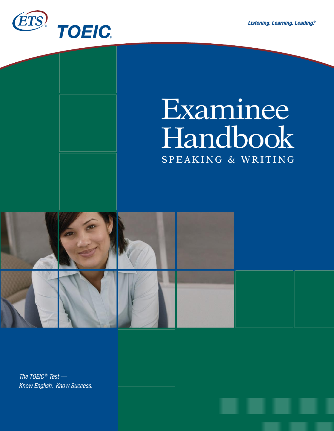

# Examinee Handbook SPEAKING & WRITING



*The TOEIC* ® *Test — Know English. Know Success.*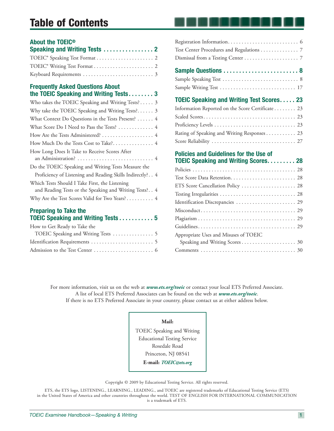# **Table of Contents**

### **About the TOEIC®**

### **Frequently Asked Questions About the TOEIC Speaking and Writing Tests . . . . . . . . 3**

| Who takes the TOEIC Speaking and Writing Tests? 3         |
|-----------------------------------------------------------|
| Why take the TOEIC Speaking and Writing Tests? 3          |
| What Context Do Questions in the Tests Present?  4        |
| What Score Do I Need to Pass the Tests?  4                |
| How Are the Tests Administered?  4                        |
|                                                           |
| How Long Does It Take to Receive Scores After             |
|                                                           |
| Do the TOEIC Speaking and Writing Tests Measure the       |
| Proficiency of Listening and Reading Skills Indirectly? 4 |
| Which Tests Should I Take First, the Listening            |
| and Reading Tests or the Speaking and Writing Tests? 4    |
| Why Are the Test Scores Valid for Two Years? 4            |
|                                                           |

#### **Preparing to Take the TOEIC Speaking and Writing Tests . . . . . . . . . . . 5**

| How to Get Ready to Take the |  |
|------------------------------|--|
|                              |  |
|                              |  |
|                              |  |

| Test Center Procedures and Regulations 7                                                     |  |
|----------------------------------------------------------------------------------------------|--|
|                                                                                              |  |
|                                                                                              |  |
|                                                                                              |  |
|                                                                                              |  |
| <b>TOEIC Speaking and Writing Test Scores 23</b>                                             |  |
| Information Reported on the Score Certificate 23                                             |  |
|                                                                                              |  |
|                                                                                              |  |
| Rating of Speaking and Writing Responses 23                                                  |  |
|                                                                                              |  |
| <b>Policies and Guidelines for the Use of</b><br><b>TOEIC Speaking and Writing Scores 28</b> |  |
|                                                                                              |  |
|                                                                                              |  |
| ETS Score Cancellation Policy  28                                                            |  |
|                                                                                              |  |
| Identification Discrepancies  29                                                             |  |
|                                                                                              |  |
|                                                                                              |  |

Guidelines. . . . . . . . . . . . . . . . . . . . . . . . . . . . . . . . . . . . 29

 Speaking and Writing Scores . . . . . . . . . . . . . . . . . . . . 30 Comments . . . . . . . . . . . . . . . . . . . . . . . . . . . . . . . . . . . 30

Appropriate Uses and Misuses of TOEIC

For more information, visit us on the web at *www.ets.org/toeic* or contact your local ETS Preferred Associate. A list of local ETS Preferred Associates can be found on the web at *www.ets.org/toeic*.

If there is no ETS Preferred Associate in your country, please contact us at either address below.

#### **Mail:**

TOEIC Speaking and Writing Educational Testing Service Rosedale Road Princeton, NJ 08541

**E-mail:** *TOEIC@ets.org*

Copyright © 2009 by Educational Testing Service. All rights reserved.

ETS, the ETS logo, LISTENING., LEARNING., LEADING., and TOEIC are registered trademarks of Educational Testing Service (ETS) in the United States of America and other countries throughout the world. TEST OF ENGLISH FOR INTERNATIONAL COMMUNICATION is a trademark of ETS.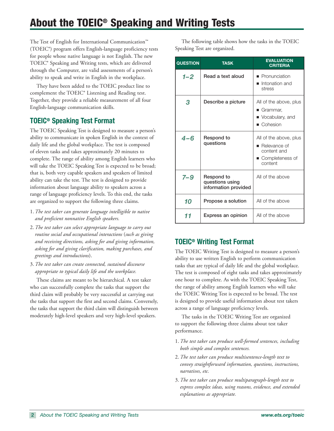# **About the TOEIC® Speaking and Writing Tests**

The Test of English for International Communication™ (TOEIC®) program offers English-language proficiency tests for people whose native language is not English. The new TOEIC® Speaking and Writing tests, which are delivered through the Computer, are valid assessments of a person's ability to speak and write in English in the workplace.

They have been added to the TOEIC product line to complement the TOEIC® Listening and Reading test. Together, they provide a reliable measurement of all four English-language communication skills.

# **TOEIC® Speaking Test Format**

The TOEIC Speaking Test is designed to measure a person's ability to communicate in spoken English in the context of daily life and the global workplace. The test is composed of eleven tasks and takes approximately 20 minutes to complete. The range of ability among English learners who will take the TOEIC Speaking Test is expected to be broad; that is, both very capable speakers and speakers of limited ability can take the test. The test is designed to provide information about language ability to speakers across a range of language proficiency levels. To this end, the tasks are organized to support the following three claims.

- 1. *The test taker can generate language intelligible to native and proficient nonnative English speakers.*
- 2. *The test taker can select appropriate language to carry out routine social and occupational interactions* (*such as giving and receiving directions, asking for and giving information, asking for and giving clarification, making purchases, and greetings and introductions*).
- 3. *The test taker can create connected, sustained discourse appropriate to typical daily life and the workplace.*

These claims are meant to be hierarchical. A test taker who can successfully complete the tasks that support the third claim will probably be very successful at carrying out the tasks that support the first and second claims. Conversely, the tasks that support the third claim will distinguish between moderately high-level speakers and very high-level speakers.

The following table shows how the tasks in the TOEIC Speaking Test are organized.

| <b>QUESTION</b> | <b>TASK</b>                                           | <b>EVALUATION</b><br><b>CRITERIA</b>                                                               |
|-----------------|-------------------------------------------------------|----------------------------------------------------------------------------------------------------|
| $1 - 2$         | Read a text aloud                                     | <b>Pronunciation</b><br>Intonation and<br>$\blacksquare$<br>stress                                 |
| 3               | Describe a picture                                    | All of the above, plus<br>■ Grammar,<br>• Vocabulary, and<br>■ Cohesion                            |
| $4 - 6$         | Respond to<br>questions                               | All of the above, plus<br>$\blacksquare$ Relevance of<br>content and<br>Completeness of<br>content |
| $7 - 9$         | Respond to<br>questions using<br>information provided | All of the above                                                                                   |
| 10              | Propose a solution                                    | All of the above                                                                                   |
| 11              | Express an opinion                                    | All of the above                                                                                   |

# **TOEIC® Writing Test Format**

The TOEIC Writing Test is designed to measure a person's ability to use written English to perform communication tasks that are typical of daily life and the global workplace. The test is composed of eight tasks and takes approximately one hour to complete. As with the TOEIC Speaking Test, the range of ability among English learners who will take the TOEIC Writing Test is expected to be broad. The test is designed to provide useful information about test takers across a range of language proficiency levels.

The tasks in the TOEIC Writing Test are organized to support the following three claims about test taker performance.

- 1. *The test taker can produce well-formed sentences, including both simple and complex sentences.*
- 2. *The test taker can produce multisentence-length text to convey straightforward information, questions, instructions, narratives, etc.*
- 3. *The test taker can produce multiparagraph-length text to express complex ideas, using reasons, evidence, and extended explanations as appropriate.*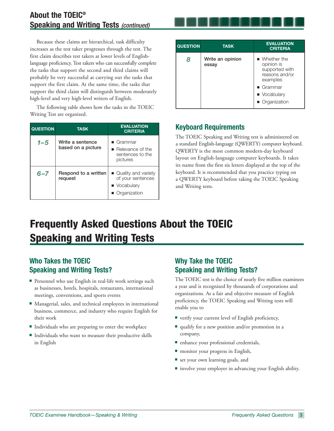Because these claims are hierarchical, task difficulty increases as the test taker progresses through the test. The first claim describes test takers at lower levels of Englishlanguage proficiency. Test takers who can successfully complete the tasks that support the second and third claims will probably be very successful at carrying out the tasks that support the first claim. At the same time, the tasks that support the third claim will distinguish between moderately high-level and very high-level writers of English.

The following table shows how the tasks in the TOEIC Writing Test are organized.

| <b>QUESTION</b> | <b>TASK</b>                            | <b>EVALUATION</b><br><b>CRITERIA</b>                                                      |
|-----------------|----------------------------------------|-------------------------------------------------------------------------------------------|
| 1–5             | Write a sentence<br>based on a picture | $\blacksquare$ Grammar<br>$\blacksquare$ Relevance of the<br>sentences to the<br>pictures |
| $6 - 7$         | Respond to a written<br>request        | Quality and variety<br>of your sentences<br>• Vocabulary<br>Organization                  |

| <b>QUESTION</b> | <b>TASK</b>               | <b>EVALUATION</b><br><b>CRITERIA</b>                                        |
|-----------------|---------------------------|-----------------------------------------------------------------------------|
| 8               | Write an opinion<br>essay | ■ Whether the<br>opinion is<br>supported with<br>reasons and/or<br>examples |
|                 |                           | $\blacksquare$ Grammar                                                      |
|                 |                           | • Vocabulary                                                                |
|                 |                           | Organization                                                                |

# **Keyboard Requirements**

The TOEIC Speaking and Writing test is administered on a standard English-language (QWERTY) computer keyboard. QWERTY is the most common modern-day keyboard layout on English-language computer keyboards. It takes its name from the first six letters displayed at the top of the keyboard. It is recommended that you practice typing on a QWERTY keyboard before taking the TOEIC Speaking and Writing tests.

# **Frequently Asked Questions About the TOEIC Speaking and Writing Tests**

# **Who Takes the TOEIC Speaking and Writing Tests?**

- **Personnel who use English in real-life work settings such** as businesses, hotels, hospitals, restaurants, international meetings, conventions, and sports events
- Managerial, sales, and technical employees in international business, commerce, and industry who require English for their work
- Individuals who are preparing to enter the workplace
- Individuals who want to measure their productive skills in English

# **Why Take the TOEIC Speaking and Writing Tests?**

The TOEIC test is the choice of nearly five million examinees a year and is recognized by thousands of corporations and organizations. As a fair and objective measure of English proficiency, the TOEIC Speaking and Writing tests will enable you to

- verify your current level of English proficiency,
- qualify for a new position and/or promotion in a company,
- enhance your professional credentials,
- **namic 1** monitor your progress in English,
- set your own learning goals, and
- involve your employer in advancing your English ability.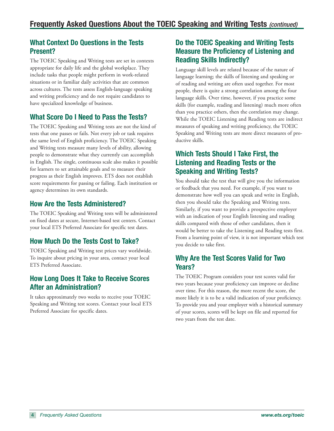# **What Context Do Questions in the Tests Present?**

The TOEIC Speaking and Writing tests are set in contexts appropriate for daily life and the global workplace. They include tasks that people might perform in work-related situations or in familiar daily activities that are common across cultures. The tests assess English-language speaking and writing proficiency and do not require candidates to have specialized knowledge of business.

# **What Score Do I Need to Pass the Tests?**

The TOEIC Speaking and Writing tests are not the kind of tests that one passes or fails. Not every job or task requires the same level of English proficiency. The TOEIC Speaking and Writing tests measure many levels of ability, allowing people to demonstrate what they currently can accomplish in English. The single, continuous scale also makes it possible for learners to set attainable goals and to measure their progress as their English improves. ETS does not establish score requirements for passing or failing. Each institution or agency determines its own standards.

# **How Are the Tests Administered?**

The TOEIC Speaking and Writing tests will be administered on fixed dates at secure, Internet-based test centers. Contact your local ETS Preferred Associate for specific test dates.

# **How Much Do the Tests Cost to Take?**

TOEIC Speaking and Writing test prices vary worldwide. To inquire about pricing in your area, contact your local ETS Preferred Associate.

# **How Long Does It Take to Receive Scores After an Administration?**

It takes approximately two weeks to receive your TOEIC Speaking and Writing test scores. Contact your local ETS Preferred Associate for specific dates.

# **Do the TOEIC Speaking and Writing Tests Measure the Proficiency of Listening and Reading Skills Indirectly?**

Language skill levels are related because of the nature of language learning; the skills of listening and speaking or of reading and writing are often used together. For most people, there is quite a strong correlation among the four language skills. Over time, however, if you practice some skills (for example, reading and listening) much more often than you practice others, then the correlation may change. While the TOEIC Listening and Reading tests are indirect measures of speaking and writing proficiency, the TOEIC Speaking and Writing tests are more direct measures of productive skills.

# **Which Tests Should I Take First, the Listening and Reading Tests or the Speaking and Writing Tests?**

You should take the test that will give you the information or feedback that you need. For example, if you want to demonstrate how well you can speak and write in English, then you should take the Speaking and Writing tests. Similarly, if you want to provide a prospective employer with an indication of your English listening and reading skills compared with those of other candidates, then it would be better to take the Listening and Reading tests first. From a learning point of view, it is not important which test you decide to take first.

# **Why Are the Test Scores Valid for Two Years?**

The TOEIC Program considers your test scores valid for two years because your proficiency can improve or decline over time. For this reason, the more recent the score, the more likely it is to be a valid indication of your proficiency. To provide you and your employer with a historical summary of your scores, scores will be kept on file and reported for two years from the test date.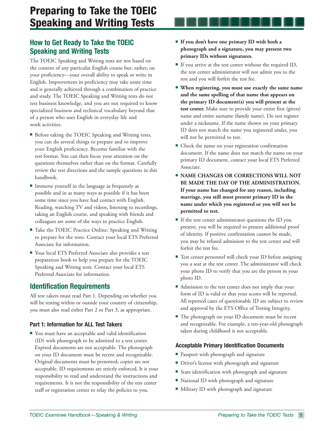# **How to Get Ready to Take the TOEIC Speaking and Writing Tests**

The TOEIC Speaking and Writing tests are not based on the content of any particular English course but, rather, on your proficiency—your overall ability to speak or write in English. Improvement in proficiency may take some time and is generally achieved through a combination of practice and study. The TOEIC Speaking and Writing tests do not test business knowledge, and you are not required to know specialized business and technical vocabulary beyond that of a person who uses English in everyday life and work activities.

- **Before taking the TOEIC Speaking and Writing tests,** you can do several things to prepare and to improve your English proficiency. Become familiar with the test format. You can then focus your attention on the questions themselves rather than on the format. Carefully review the test directions and the sample questions in this handbook.
- Immerse yourself in the language as frequently as possible and in as many ways as possible if it has been some time since you have had contact with English. Reading, watching TV and videos, listening to recordings, taking an English course, and speaking with friends and colleagues are some of the ways to practice English.
- Take the TOEIC Practice Online: Speaking and Writing to prepare for the tests. Contact your local ETS Preferred Associate for information.
- Your local ETS Preferred Associate also provides a test preparation book to help you prepare for the TOEIC Speaking and Writing tests. Contact your local ETS Preferred Associate for information.

# **Identification Requirements**

All test takers must read Part 1. Depending on whether you will be testing within or outside your country of citizenship, you must also read either Part 2 or Part 3, as appropriate.

#### **Part 1: Information for ALL Test Takers**

■ You must have an acceptable and valid identification (ID) with photograph to be admitted to a test center. Expired documents are not acceptable. The photograph on your ID document must be recent and recognizable. Original documents must be presented; copies are not acceptable. ID requirements are strictly enforced. It is your responsibility to read and understand the instructions and requirements. It is not the responsibility of the test center staff or registration center to relay the policies to you.

- **If you don't have one primary ID with both a photograph and a signature, you may present two primary IDs without signatures.**
- If you arrive at the test center without the required ID, the test center administrator will not admit you to the test and you will forfeit the test fee.
- **When registering, you must use exactly the same name and the same spelling of that name that appears on the primary ID document(s) you will present at the test center.** Make sure to provide your entire first (given) name and entire surname (family name). Do not register under a nickname. If the name shown on your primary ID does not match the name you registered under, you will not be permitted to test.
- **Check the name on your registration confirmation** document. If the name does not match the name on your primary ID document, contact your local ETS Preferred Associate.
- **EXAME CHANGES OR CORRECTIONS WILL NOT BE MADE THE DAY OF THE ADMINISTRATION. If your name has changed for any reason, including marriage, you still must present primary ID in the name under which you registered or you will not be permitted to test.**
- If the test center administrator questions the ID you present, you will be required to present additional proof of identity. If positive confirmation cannot be made, you may be refused admission to the test center and will forfeit the test fee.
- Test center personnel will check your ID before assigning you a seat at the test center. The administrator will check your photo ID to verify that you are the person in your photo ID.
- Admission to the test center does not imply that your form of ID is valid or that your scores will be reported. All reported cases of questionable ID are subject to review and approval by the ETS Office of Testing Integrity.
- The photograph on your ID document must be recent and recognizable. For example, a ten-year-old photograph taken during childhood is not acceptable.

#### **Acceptable Primary Identification Documents**

- Passport with photograph and signature
- **Driver's license with photograph and signature**
- **Example 3 State identification with photograph and signature**
- National ID with photograph and signature
- **I** Military ID with photograph and signature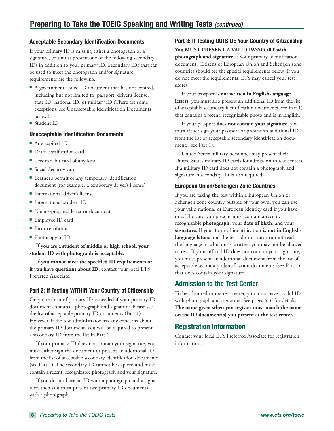#### **Acceptable Secondary Identification Documents**

If your primary ID is missing either a photograph or a signature, you must present one of the following secondary IDs in addition to your primary ID. Secondary IDs that can be used to meet the photograph and/or signature requirements are the following.

- A government-issued ID document that has not expired, including but not limited to, passport, driver's license, state ID, national ID, or military ID (There are some exceptions: see Unacceptable Identification Documents below.)
- Student ID

#### **Unacceptable Identification Documents**

- Any expired ID
- Draft classification card
- **Credit/debit card of any kind**
- **Social Security card**
- Learner's permit or any temporary identification document (for example, a temporary driver's license)
- International driver's license
- International student ID
- Notary-prepared letter or document
- Employee ID card
- Birth certificate
- Photocopy of ID

**If you are a student of middle or high school, your student ID with photograph is acceptable.** 

**If you cannot meet the specified ID requirements or if you have questions about ID**, contact your local ETS Preferred Associate.

#### **Part 2: If Testing WITHIN Your Country of Citizenship**

Only one form of primary ID is needed if your primary ID document contains a photograph and signature. Please see the list of acceptable primary ID documents (Part 1). However, if the test administrator has any concerns about the primary ID document, you will be required to present a secondary ID from the list in Part 1.

If your primary ID does not contain your signature, you must either sign the document or present an additional ID from the list of acceptable secondary identification documents (see Part 1). The secondary ID cannot be expired and must contain a recent, recognizable photograph and your signature.

If you do not have an ID with a photograph and a signature, then you must present two primary ID documents with a photograph.

# **Part 3: If Testing OUTSIDE Your Country of Citizenship**

**You MUST PRESENT A VALID PASSPORT with photograph and signature** as your primary identification document. Citizens of European Union and Schengen zone countries should see the special requirements below. If you do not meet the requirements, ETS may cancel your test scores.

If your passport is **not written in English-language letters**, you must also present an additional ID from the list of acceptable secondary identification documents (see Part 1) that contains a recent, recognizable photo and is in English.

If your passport **does not contain your signature**, you must either sign your passport or present an additional ID from the list of acceptable secondary identification documents (see Part 1).

United States military personnel may present their United States military ID cards for admission to test centers. If a military ID card does not contain a photograph and signature, a secondary ID is also required.

#### **European Union/Schengen Zone Countries**

If you are taking the test within a European Union or Schengen zone country outside of your own, you can use your valid national or European identity card if you have one. The card you present must contain a recent, recognizable **photograph**, your **date of birth**, and your **signature**. If your form of identification is **not in Englishlanguage letters** and the test administrator cannot read the language in which it is written, you may not be allowed to test. If your official ID does not contain your signature, you must present an additional document from the list of acceptable secondary identification documents (see Part 1) that does contain your signature.

# **Admission to the Test Center**

To be admitted to the test center, you must have a valid ID with photograph and signature. See pages 5–6 for details. **The name given when you register must match the name on the ID document(s) you present at the test center.**

# **Registration Information**

Contact your local ETS Preferred Associate for registration information.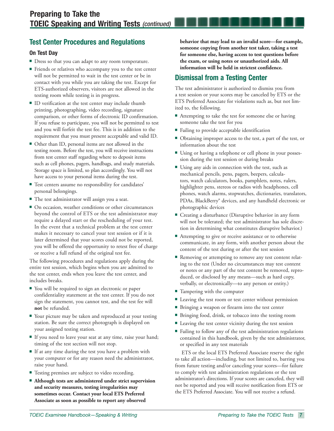# **Test Center Procedures and Regulations**

#### **On Test Day**

- **Dress so that you can adapt to any room temperature.**
- Friends or relatives who accompany you to the test center will not be permitted to wait in the test center or be in contact with you while you are taking the test. Except for ETS-authorized observers, visitors are not allowed in the testing room while testing is in progress.
- ID verification at the test center may include thumb printing, photographing, video recording, signature comparison, or other forms of electronic ID confirmation. If you refuse to participate, you will not be permitted to test and you will forfeit the test fee. This is in addition to the requirement that you must present acceptable and valid ID.
- Other than ID, personal items are not allowed in the testing room. Before the test, you will receive instructions from test center staff regarding where to deposit items such as cell phones, pagers, handbags, and study materials. Storage space is limited, so plan accordingly. You will not have access to your personal items during the test.
- **Test centers assume no responsibility for candidates'** personal belongings.
- The test administrator will assign you a seat.
- $\blacksquare$  On occasion, weather conditions or other circumstances beyond the control of ETS or the test administrator may require a delayed start or the rescheduling of your test. In the event that a technical problem at the test center makes it necessary to cancel your test session or if it is later determined that your scores could not be reported, you will be offered the opportunity to retest free of charge or receive a full refund of the original test fee.

The following procedures and regulations apply during the entire test session, which begins when you are admitted to the test center, ends when you leave the test center, and includes breaks.

- You will be required to sign an electronic or paper confidentiality statement at the test center. If you do not sign the statement, you cannot test, and the test fee will **not** be refunded.
- Your picture may be taken and reproduced at your testing station. Be sure the correct photograph is displayed on your assigned testing station.
- If you need to leave your seat at any time, raise your hand; timing of the test section will not stop.
- If at any time during the test you have a problem with your computer or for any reason need the administrator, raise your hand.
- **Testing premises are subject to video recording.**
- **Although tests are administered under strict supervision and security measures, testing irregularities may sometimes occur. Contact your local ETS Preferred Associate as soon as possible to report any observed**

**behavior that may lead to an invalid score—for example, someone copying from another test taker, taking a test for someone else, having access to test questions before the exam, or using notes or unauthorized aids. All information will be held in strictest confidence.**

# **Dismissal from a Testing Center**

The test administrator is authorized to dismiss you from a test session or your scores may be canceled by ETS or the ETS Preferred Associate for violations such as, but not limited to, the following.

- Attempting to take the test for someone else or having someone take the test for you
- Failing to provide acceptable identification
- Obtaining improper access to the test, a part of the test, or information about the test
- Using or having a telephone or cell phone in your possession during the test session or during breaks
- Using any aids in connection with the test, such as mechanical pencils, pens, pagers, beepers, calculators, watch calculators, books, pamphlets, notes, rulers, highlighter pens, stereos or radios with headphones, cell phones, watch alarms, stopwatches, dictionaries, translators, PDAs, BlackBerry® devices, and any handheld electronic or photographic devices
- Creating a disturbance (Disruptive behavior in any form will not be tolerated; the test administrator has sole discretion in determining what constitutes disruptive behavior.)
- Attempting to give or receive assistance or to otherwise communicate, in any form, with another person about the content of the test during or after the test session
- **Removing or attempting to remove any test content relat**ing to the test (Under no circumstances may test content or notes or any part of the test content be removed, reproduced, or disclosed by any means—such as hard copy, verbally, or electronically—to any person or entity.)
- Tampering with the computer
- **Leaving the test room or test center without permission**
- **Bringing a weapon or firearm into the test center**
- Bringing food, drink, or tobacco into the testing room
- Leaving the test center vicinity during the test session
- Failing to follow any of the test administration regulations contained in this handbook, given by the test administrator, or specified in any test materials

ETS or the local ETS Preferred Associate reserve the right to take all action—including, but not limited to, barring you from future testing and/or canceling your scores—for failure to comply with test administration regulations or the test administrator's directions. If your scores are canceled, they will not be reported and you will receive notification from ETS or the ETS Preferred Associate. You will not receive a refund.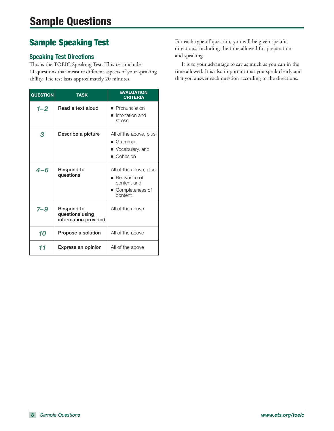# **Sample Speaking Test**

### **Speaking Test Directions**

This is the TOEIC Speaking Test. This test includes 11 questions that measure different aspects of your speaking ability. The test lasts approximately 20 minutes.

| <b>QUESTION</b> | <b>TASK</b>                                           | <b>EVALUATION</b><br><b>CRITERIA</b>                                                                 |
|-----------------|-------------------------------------------------------|------------------------------------------------------------------------------------------------------|
| $1 - 2$         | Read a text aloud                                     | ■ Pronunciation<br>$\blacksquare$ Intonation and<br>stress                                           |
| 3               | Describe a picture                                    | All of the above, plus<br>■ Grammar,<br>• Vocabulary, and<br>■ Cohesion                              |
| 4-6             | Respond to<br>questions                               | All of the above, plus<br>$\blacksquare$ Relevance of<br>content and<br>■ Completeness of<br>content |
| $7 - 9$         | Respond to<br>questions using<br>information provided | All of the above                                                                                     |
| 10              | Propose a solution                                    | All of the above                                                                                     |
| 11              | Express an opinion                                    | All of the above                                                                                     |

For each type of question, you will be given specific directions, including the time allowed for preparation and speaking.

 It is to your advantage to say as much as you can in the time allowed. It is also important that you speak clearly and that you answer each question according to the directions.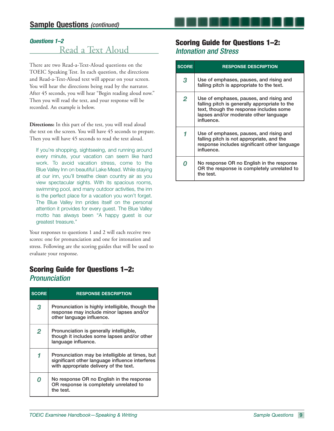#### *Questions 1–2*

# Read a Text Aloud

There are two Read-a-Text-Aloud questions on the TOEIC Speaking Test. In each question, the directions and Read-a-Text-Aloud text will appear on your screen. You will hear the directions being read by the narrator. After 45 seconds, you will hear "Begin reading aloud now." Then you will read the text, and your response will be recorded. An example is below.

**Directions:** In this part of the test, you will read aloud the text on the screen. You will have 45 seconds to prepare. Then you will have 45 seconds to read the text aloud.

If you're shopping, sightseeing, and running around every minute, your vacation can seem like hard work. To avoid vacation stress, come to the Blue Valley Inn on beautiful Lake Mead. While staying at our inn, you'll breathe clean country air as you view spectacular sights. With its spacious rooms, swimming pool, and many outdoor activities, the inn is the perfect place for a vacation you won't forget. The Blue Valley Inn prides itself on the personal attention it provides for every guest. The Blue Valley motto has always been "A happy guest is our greatest treasure."

Your responses to questions 1 and 2 will each receive two scores: one for pronunciation and one for intonation and stress. Following are the scoring guides that will be used to evaluate your response.

# **Scoring Guide for Questions 1–2: Pronunciation**

| <b>SCORE</b> | <b>RESPONSE DESCRIPTION</b>                                                                                                                  |  |  |  |
|--------------|----------------------------------------------------------------------------------------------------------------------------------------------|--|--|--|
| 3            | Pronunciation is highly intelligible, though the<br>response may include minor lapses and/or<br>other language influence.                    |  |  |  |
| 2            | Pronunciation is generally intelligible,<br>though it includes some lapses and/or other<br>language influence.                               |  |  |  |
|              | Pronunciation may be intelligible at times, but<br>significant other language influence interferes<br>with appropriate delivery of the text. |  |  |  |
|              | No response OR no English in the response<br>OR response is completely unrelated to<br>the test.                                             |  |  |  |

### **Scoring Guide for Questions 1–2:**  Intonation and Stress

| <b>SCORE</b> | <b>RESPONSE DESCRIPTION</b>                                                                                                                                                                |
|--------------|--------------------------------------------------------------------------------------------------------------------------------------------------------------------------------------------|
| 3            | Use of emphases, pauses, and rising and<br>falling pitch is appropriate to the text.                                                                                                       |
| 2            | Use of emphases, pauses, and rising and<br>falling pitch is generally appropriate to the<br>text, though the response includes some<br>lapses and/or moderate other language<br>influence. |
|              | Use of emphases, pauses, and rising and<br>falling pitch is not appropriate, and the<br>response includes significant other language<br>influence.                                         |
|              | No response OR no English in the response<br>OR the response is completely unrelated to<br>the test.                                                                                       |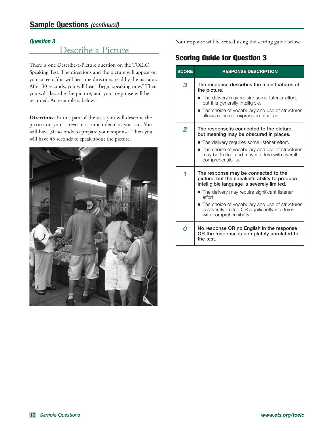#### *Question 3*

# Describe a Picture

There is one Describe-a-Picture question on the TOEIC Speaking Test. The directions and the picture will appear on your screen. You will hear the directions read by the narrator. After 30 seconds, you will hear "Begin speaking now." Then you will describe the picture, and your response will be recorded. An example is below.

**Directions:** In this part of the test, you will describe the picture on your screen in as much detail as you can. You will have 30 seconds to prepare your response. Then you will have 45 seconds to speak about the picture.



Your response will be scored using the scoring guide below.

# **Scoring Guide for Question 3**

| <b>SCORE</b> | <b>RESPONSE DESCRIPTION</b>                                                                                                         |
|--------------|-------------------------------------------------------------------------------------------------------------------------------------|
| 3            | The response describes the main features of<br>the picture.                                                                         |
|              | ■ The delivery may require some listener effort,<br>but it is generally intelligible.                                               |
|              | ■ The choice of vocabulary and use of structures<br>allows coherent expression of ideas.                                            |
| 2            | The response is connected to the picture,<br>but meaning may be obscured in places.                                                 |
|              | ■ The delivery requires some listener effort.                                                                                       |
|              | The choice of vocabulary and use of structures<br>may be limited and may interfere with overall<br>comprehensibility.               |
| 1            | The response may be connected to the<br>picture, but the speaker's ability to produce<br>intelligible language is severely limited. |
|              | ■ The delivery may require significant listener<br>effort.                                                                          |
|              | ■ The choice of vocabulary and use of structures<br>is severely limited OR significantly interferes<br>with comprehensibility.      |
| 0            | No response OR no English in the response<br>OR the response is completely unrelated to<br>the test.                                |
|              |                                                                                                                                     |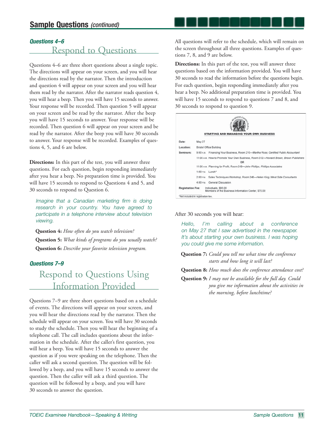#### *Questions 4 – 6*

# Respond to Questions

Questions 4–6 are three short questions about a single topic. The directions will appear on your screen, and you will hear the directions read by the narrator. Then the introduction and question 4 will appear on your screen and you will hear them read by the narrator. After the narrator reads question 4, you will hear a beep. Then you will have 15 seconds to answer. Your response will be recorded. Then question 5 will appear on your screen and be read by the narrator. After the beep you will have 15 seconds to answer. Your response will be recorded. Then question 6 will appear on your screen and be read by the narrator. After the beep you will have 30 seconds to answer. Your response will be recorded. Examples of questions 4, 5, and 6 are below.

**Directions:** In this part of the test, you will answer three questions. For each question, begin responding immediately after you hear a beep. No preparation time is provided. You will have 15 seconds to respond to Questions 4 and 5, and 30 seconds to respond to Question 6.

Imagine that a Canadian marketing firm is doing research in your country. You have agreed to participate in a telephone interview about television viewing.

**Question 4:** *How often do you watch television?* **Question 5:** *What kinds of programs do you usually watch?* **Question 6:** *Describe your favorite television program.*

#### *Questions 7–9*

# Respond to Questions Using Information Provided

Questions 7–9 are three short questions based on a schedule of events. The directions will appear on your screen, and you will hear the directions read by the narrator. Then the schedule will appear on your screen. You will have 30 seconds to study the schedule. Then you will hear the beginning of a telephone call. The call includes questions about the information in the schedule. After the caller's first question, you will hear a beep. You will have 15 seconds to answer the question as if you were speaking on the telephone. Then the caller will ask a second question. The question will be followed by a beep, and you will have 15 seconds to answer the question. Then the caller will ask a third question. The question will be followed by a beep, and you will have 30 seconds to answer the question.

All questions will refer to the schedule, which will remain on the screen throughout all three questions. Examples of questions 7, 8, and 9 are below.

**Directions:** In this part of the test, you will answer three questions based on the information provided. You will have 30 seconds to read the information before the questions begin. For each question, begin responding immediately after you hear a beep. No additional preparation time is provided. You will have 15 seconds to respond to questions 7 and 8, and 30 seconds to respond to question 9.

|                                                                |                                | SERVICE AND RESERVE<br><b>STARTING AND MANAGING YOUR OWN BUSINESS</b>                      |  |  |  |
|----------------------------------------------------------------|--------------------------------|--------------------------------------------------------------------------------------------|--|--|--|
| Date:                                                          | May 27                         |                                                                                            |  |  |  |
| Location:                                                      | <b>Bristol Office Building</b> |                                                                                            |  |  |  |
| Seminars:                                                      |                                | 9:00 AM. Financing Your Business, Room 210-Martha Ross, Certified Public Accountant        |  |  |  |
|                                                                |                                | 11:00 A.M. How to Promote Your Own Business, Room 312-Howard Brown, Brown Publishers<br>OR |  |  |  |
|                                                                |                                | 11:00 A.M. Planning for Profit, Room 318-John Phillips, Phillips Associates                |  |  |  |
|                                                                | 1:00 P.M. Lunch*               |                                                                                            |  |  |  |
|                                                                | $2:00 \text{ PM}$              | Sales Techniques Workshop, Room 246-Helen King, West Side Consultants                      |  |  |  |
|                                                                | 4:00 PM                        | General Discussion                                                                         |  |  |  |
|                                                                |                                | Individuals, \$95.00<br>Members of the Business Information Center, \$75.00                |  |  |  |
| <b>Registration Fee:</b><br>*Not included in registration fee. |                                |                                                                                            |  |  |  |

#### After 30 seconds you will hear:

Hello, I'm calling about a conference on May 27 that I saw advertised in the newspaper. It's about starting your own business. I was hoping you could give me some information.

**Question 7:** *Could you tell me what time the conference starts and how long it will last?* 

**Question 8:** *How much does the conference attendance cost?* 

**Question 9:** *I may not be available for the full day. Could you give me information about the activities in the morning, before lunchtime?*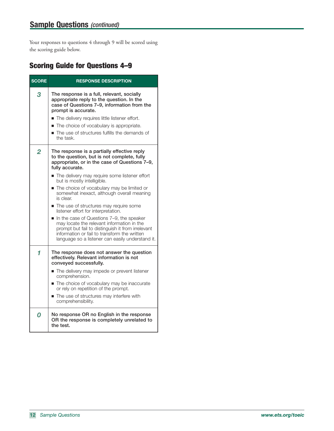Your responses to questions 4 through 9 will be scored using the scoring guide below.

# **Scoring Guide for Questions 4–9**

| <b>SCORE</b>   | <b>RESPONSE DESCRIPTION</b>                                                                                                                                                                                                                                                                                                                                                                                                                                                                                                                                                                                                                                                                  |  |  |
|----------------|----------------------------------------------------------------------------------------------------------------------------------------------------------------------------------------------------------------------------------------------------------------------------------------------------------------------------------------------------------------------------------------------------------------------------------------------------------------------------------------------------------------------------------------------------------------------------------------------------------------------------------------------------------------------------------------------|--|--|
| 3              | The response is a full, relevant, socially<br>appropriate reply to the question. In the<br>case of Questions 7-9, information from the<br>prompt is accurate.<br>The delivery requires little listener effort.<br>The choice of vocabulary is appropriate.<br>■ The use of structures fulfills the demands of<br>the task.                                                                                                                                                                                                                                                                                                                                                                   |  |  |
| $\overline{2}$ | The response is a partially effective reply<br>to the question, but is not complete, fully<br>appropriate, or in the case of Questions 7-9,<br>fully accurate.<br>The delivery may require some listener effort<br>but is mostly intelligible.<br>The choice of vocabulary may be limited or<br>somewhat inexact, although overall meaning<br>is clear.<br>The use of structures may require some<br>listener effort for interpretation.<br>In the case of Questions 7-9, the speaker<br>may locate the relevant information in the<br>prompt but fail to distinguish it from irrelevant<br>information or fail to transform the written<br>language so a listener can easily understand it. |  |  |
| 1              | The response does not answer the question<br>effectively. Relevant information is not<br>conveyed successfully.<br>The delivery may impede or prevent listener<br>comprehension.<br>The choice of vocabulary may be inaccurate<br>or rely on repetition of the prompt.<br>The use of structures may interfere with<br>comprehensibility.                                                                                                                                                                                                                                                                                                                                                     |  |  |
| O              | No response OR no English in the response<br>OR the response is completely unrelated to<br>the test.                                                                                                                                                                                                                                                                                                                                                                                                                                                                                                                                                                                         |  |  |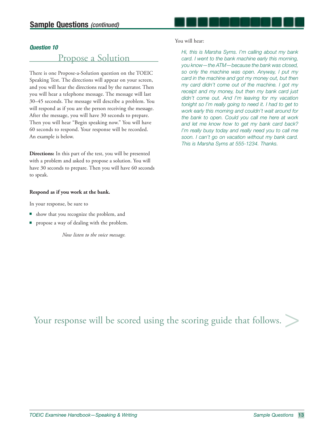#### *Question 10*

# Propose a Solution

There is one Propose-a-Solution question on the TOEIC Speaking Test. The directions will appear on your screen, and you will hear the directions read by the narrator. Then you will hear a telephone message. The message will last 30–45 seconds. The message will describe a problem. You will respond as if you are the person receiving the message. After the message, you will have 30 seconds to prepare. Then you will hear "Begin speaking now." You will have 60 seconds to respond. Your response will be recorded. An example is below.

**Directions:** In this part of the test, you will be presented with a problem and asked to propose a solution. You will have 30 seconds to prepare. Then you will have 60 seconds to speak.

#### **Respond as if you work at the bank.**

In your response, be sure to

- show that you recognize the problem, and
- propose a way of dealing with the problem.

*Now listen to the voice message.*

#### You will hear:

Hi, this is Marsha Syms. I'm calling about my bank card. I went to the bank machine early this morning, you know—the ATM—because the bank was closed, so only the machine was open. Anyway, I put my card in the machine and got my money out, but then my card didn't come out of the machine. I got my receipt and my money, but then my bank card just didn't come out. And I'm leaving for my vacation tonight so I'm really going to need it. I had to get to work early this morning and couldn't wait around for the bank to open. Could you call me here at work and let me know how to get my bank card back? I'm really busy today and really need you to call me soon. I can't go on vacation without my bank card. This is Marsha Syms at 555-1234. Thanks.

Your response will be scored using the scoring guide that follows.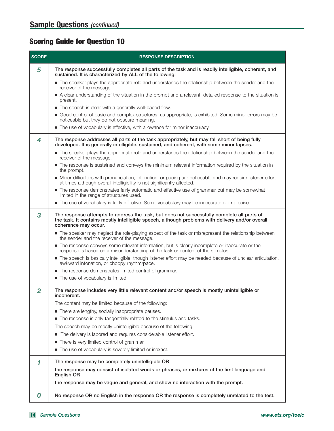# **Scoring Guide for Question 10**

| <b>SCORE</b>   | <b>RESPONSE DESCRIPTION</b>                                                                                                                                                                                                                                                                                                    |
|----------------|--------------------------------------------------------------------------------------------------------------------------------------------------------------------------------------------------------------------------------------------------------------------------------------------------------------------------------|
| 5              | The response successfully completes all parts of the task and is readily intelligible, coherent, and<br>sustained. It is characterized by ALL of the following:                                                                                                                                                                |
|                | The speaker plays the appropriate role and understands the relationship between the sender and the<br>receiver of the message.                                                                                                                                                                                                 |
|                | A clear understanding of the situation in the prompt and a relevant, detailed response to the situation is<br>present.                                                                                                                                                                                                         |
|                | • The speech is clear with a generally well-paced flow.                                                                                                                                                                                                                                                                        |
|                | Good control of basic and complex structures, as appropriate, is exhibited. Some minor errors may be<br>noticeable but they do not obscure meaning.                                                                                                                                                                            |
|                | The use of vocabulary is effective, with allowance for minor inaccuracy.                                                                                                                                                                                                                                                       |
| 4              | The response addresses all parts of the task appropriately, but may fall short of being fully<br>developed. It is generally intelligible, sustained, and coherent, with some minor lapses.                                                                                                                                     |
|                | The speaker plays the appropriate role and understands the relationship between the sender and the<br>receiver of the message.                                                                                                                                                                                                 |
|                | The response is sustained and conveys the minimum relevant information required by the situation in<br>the prompt.                                                                                                                                                                                                             |
|                | • Minor difficulties with pronunciation, intonation, or pacing are noticeable and may require listener effort<br>at times although overall intelligibility is not significantly affected.                                                                                                                                      |
|                | The response demonstrates fairly automatic and effective use of grammar but may be somewhat<br>limited in the range of structures used.                                                                                                                                                                                        |
|                | The use of vocabulary is fairly effective. Some vocabulary may be inaccurate or imprecise.                                                                                                                                                                                                                                     |
| 3              | The response attempts to address the task, but does not successfully complete all parts of<br>the task. It contains mostly intelligible speech, although problems with delivery and/or overall<br>coherence may occur.<br>The speaker may neglect the role-playing aspect of the task or misrepresent the relationship between |
|                | the sender and the receiver of the message.                                                                                                                                                                                                                                                                                    |
|                | The response conveys some relevant information, but is clearly incomplete or inaccurate or the<br>response is based on a misunderstanding of the task or content of the stimulus.                                                                                                                                              |
|                | The speech is basically intelligible, though listener effort may be needed because of unclear articulation,<br>awkward intonation, or choppy rhythm/pace.                                                                                                                                                                      |
|                | The response demonstrates limited control of grammar.                                                                                                                                                                                                                                                                          |
|                | ■ The use of vocabulary is limited.                                                                                                                                                                                                                                                                                            |
| $\overline{2}$ | The response includes very little relevant content and/or speech is mostly unintelligible or<br>inconerent.                                                                                                                                                                                                                    |
|                | The content may be limited because of the following:                                                                                                                                                                                                                                                                           |
|                | There are lengthy, socially inappropriate pauses.                                                                                                                                                                                                                                                                              |
|                | The response is only tangentially related to the stimulus and tasks.                                                                                                                                                                                                                                                           |
|                | The speech may be mostly unintelligible because of the following:                                                                                                                                                                                                                                                              |
|                | The delivery is labored and requires considerable listener effort.<br>ш                                                                                                                                                                                                                                                        |
|                | There is very limited control of grammar.                                                                                                                                                                                                                                                                                      |
|                | The use of vocabulary is severely limited or inexact.                                                                                                                                                                                                                                                                          |
| 1              | The response may be completely unintelligible OR                                                                                                                                                                                                                                                                               |
|                | the response may consist of isolated words or phrases, or mixtures of the first language and<br>English OR                                                                                                                                                                                                                     |
|                | the response may be vague and general, and show no interaction with the prompt.                                                                                                                                                                                                                                                |
| 0              | No response OR no English in the response OR the response is completely unrelated to the test.                                                                                                                                                                                                                                 |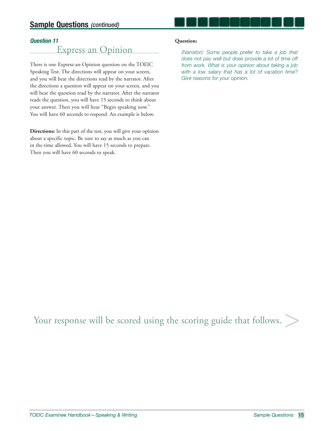### *Question 11*

# Express an Opinion

There is one Express-an-Opinion question on the TOEIC Speaking Test. The directions will appear on your screen, and you will hear the directions read by the narrator. After the directions a question will appear on your screen, and you will hear the question read by the narrator. After the narrator reads the question, you will have 15 seconds to think about your answer. Then you will hear "Begin speaking now." You will have 60 seconds to respond. An example is below.

**Directions:** In this part of the test, you will give your opinion about a specific topic. Be sure to say as much as you can in the time allowed. You will have 15 seconds to prepare. Then you will have 60 seconds to speak.

#### **Question:**

(Narrator): Some people prefer to take a job that does not pay well but does provide a lot of time off from work. What is your opinion about taking a job with a low salary that has a lot of vacation time? Give reasons for your opinion.

Your response will be scored using the scoring guide that follows.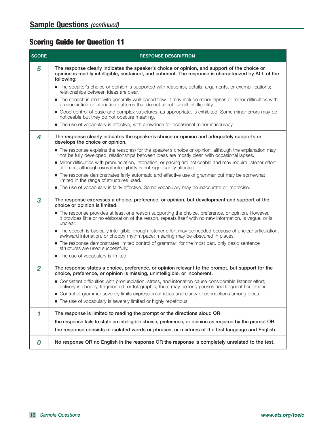# **Scoring Guide for Question 11**

| <b>SCORE</b>   | <b>RESPONSE DESCRIPTION</b>                                                                                                                                                                                                  |  |  |
|----------------|------------------------------------------------------------------------------------------------------------------------------------------------------------------------------------------------------------------------------|--|--|
| 5              | The response clearly indicates the speaker's choice or opinion, and support of the choice or<br>opinion is readily intelligible, sustained, and coherent. The response is characterized by ALL of the<br>following:          |  |  |
|                | The speaker's choice or opinion is supported with reason(s), details, arguments, or exemplifications;<br>relationships between ideas are clear.                                                                              |  |  |
|                | The speech is clear with generally well-paced flow. It may include minor lapses or minor difficulties with<br>pronunciation or intonation patterns that do not affect overall intelligibility.                               |  |  |
|                | Good control of basic and complex structures, as appropriate, is exhibited. Some minor errors may be<br>noticeable but they do not obscure meaning.                                                                          |  |  |
|                | The use of vocabulary is effective, with allowance for occasional minor inaccuracy.                                                                                                                                          |  |  |
| 4              | The response clearly indicates the speaker's choice or opinion and adequately supports or<br>develops the choice or opinion.                                                                                                 |  |  |
|                | The response explains the reason(s) for the speaker's choice or opinion, although the explanation may<br>not be fully developed; relationships between ideas are mostly clear, with occasional lapses.                       |  |  |
|                | • Minor difficulties with pronunciation, intonation, or pacing are noticeable and may require listener effort<br>at times, although overall intelligibility is not significantly affected.                                   |  |  |
|                | The response demonstrates fairly automatic and effective use of grammar but may be somewhat<br>limited in the range of structures used.                                                                                      |  |  |
|                | The use of vocabulary is fairly effective. Some vocabulary may be inaccurate or imprecise.                                                                                                                                   |  |  |
| 3              | The response expresses a choice, preference, or opinion, but development and support of the<br>choice or opinion is limited.                                                                                                 |  |  |
|                | The response provides at least one reason supporting the choice, preference, or opinion. However,<br>it provides little or no elaboration of the reason, repeats itself with no new information, is vague, or is<br>unclear. |  |  |
|                | The speech is basically intelligible, though listener effort may be needed because of unclear articulation,<br>awkward intonation, or choppy rhythm/pace; meaning may be obscured in places.                                 |  |  |
|                | The response demonstrates limited control of grammar; for the most part, only basic sentence<br>structures are used successfully.                                                                                            |  |  |
|                | The use of vocabulary is limited.                                                                                                                                                                                            |  |  |
| $\overline{2}$ | The response states a choice, preference, or opinion relevant to the prompt, but support for the<br>choice, preference, or opinion is missing, unintelligible, or incoherent.                                                |  |  |
|                | ■ Consistent difficulties with pronunciation, stress, and intonation cause considerable listener effort;<br>delivery is choppy, fragmented, or telegraphic; there may be long pauses and frequent hesitations.               |  |  |
|                | Control of grammar severely limits expression of ideas and clarity of connections among ideas.                                                                                                                               |  |  |
|                | The use of vocabulary is severely limited or highly repetitious.                                                                                                                                                             |  |  |
| 1              | The response is limited to reading the prompt or the directions aloud OR                                                                                                                                                     |  |  |
|                | the response fails to state an intelligible choice, preference, or opinion as required by the prompt OR                                                                                                                      |  |  |
|                | the response consists of isolated words or phrases, or mixtures of the first language and English.                                                                                                                           |  |  |
| 0              | No response OR no English in the response OR the response is completely unrelated to the test.                                                                                                                               |  |  |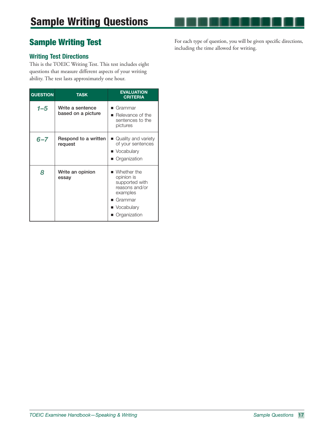# **Sample Writing Test**

### **Writing Test Directions**

This is the TOEIC Writing Test. This test includes eight questions that measure different aspects of your writing ability. The test lasts approximately one hour.

| <b>QUESTION</b><br><b>TASK</b> |                                        | <b>EVALUATION</b><br><b>CRITERIA</b>                                                                                                                 |
|--------------------------------|----------------------------------------|------------------------------------------------------------------------------------------------------------------------------------------------------|
| 1–5                            | Write a sentence<br>based on a picture | $\blacksquare$ Grammar<br>$\blacksquare$ Relevance of the<br>sentences to the<br>pictures                                                            |
| $6 - 7$                        | Respond to a written<br>request        | ■ Quality and variety<br>of your sentences<br>■ Vocabulary<br>■ Organization                                                                         |
| 8                              | Write an opinion<br>essay              | $\blacksquare$ Whether the<br>opinion is<br>supported with<br>reasons and/or<br>examples<br>$\blacksquare$ Grammar<br>■ Vocabulary<br>■ Organization |

For each type of question, you will be given specific directions, including the time allowed for writing.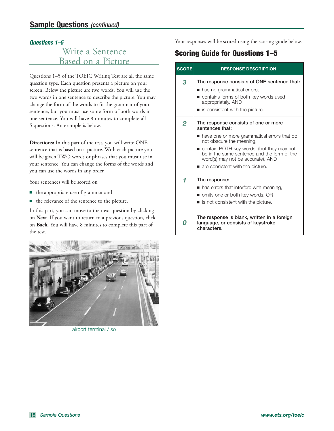#### *Questions 1–5*

# Write a Sentence Based on a Picture

Questions 1–5 of the TOEIC Writing Test are all the same question type. Each question presents a picture on your screen. Below the picture are two words. You will use the two words in one sentence to describe the picture. You may change the form of the words to fit the grammar of your sentence, but you must use some form of both words in one sentence. You will have 8 minutes to complete all 5 questions. An example is below.

**Directions:** In this part of the test, you will write ONE sentence that is based on a picture. With each picture you will be given TWO words or phrases that you must use in your sentence. You can change the forms of the words and you can use the words in any order.

Your sentences will be scored on

- the appropriate use of grammar and
- the relevance of the sentence to the picture.

In this part, you can move to the next question by clicking on **Next**. If you want to return to a previous question, click on **Back**. You will have 8 minutes to complete this part of the test.



airport terminal / so

Your responses will be scored using the scoring guide below.

# **Scoring Guide for Questions 1–5**

| <b>SCORE</b> | <b>RESPONSE DESCRIPTION</b>                                                                                                                                                                                                                                                                             |
|--------------|---------------------------------------------------------------------------------------------------------------------------------------------------------------------------------------------------------------------------------------------------------------------------------------------------------|
| 3            | The response consists of ONE sentence that:<br>has no grammatical errors,<br>contains forms of both key words used<br>appropriately, AND<br>■ is consistent with the picture.                                                                                                                           |
| 2            | The response consists of one or more<br>sentences that:<br>have one or more grammatical errors that do<br>not obscure the meaning.<br>contain BOTH key words, (but they may not<br>be in the same sentence and the form of the<br>word(s) may not be accurate), AND<br>are consistent with the picture. |
| 1<br>Ω       | The response:<br>• has errors that interfere with meaning,<br>■ omits one or both key words, OR<br>$\blacksquare$ is not consistent with the picture.<br>The response is blank, written in a foreign<br>language, or consists of keystroke                                                              |
|              | characters.                                                                                                                                                                                                                                                                                             |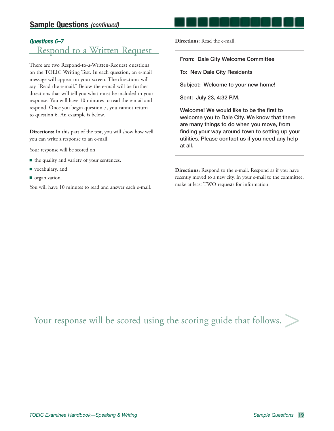# **Sample Questions (continued)**

# *Questions 6–7*

# Respond to a Written Request

There are two Respond-to-a-Written-Request questions on the TOEIC Writing Test. In each question, an e-mail message will appear on your screen. The directions will say "Read the e-mail." Below the e-mail will be further directions that will tell you what must be included in your response. You will have 10 minutes to read the e-mail and respond. Once you begin question 7, you cannot return to question 6. An example is below.

**Directions:** In this part of the test, you will show how well you can write a response to an e-mail.

Your response will be scored on

- the quality and variety of your sentences,
- vocabulary, and
- organization.

You will have 10 minutes to read and answer each e-mail.

**Directions:** Read the e-mail.

**From: Dale City Welcome Committee**

**To: New Dale City Residents**

**Subject: Welcome to your new home!**

**Sent: July 23, 4:32 P.M.**

Welcome! We would like to be the first to **welcome you to Dale City. We know that there are many things to do when you move, from**  finding your way around town to setting up your **utilities. Please contact us if you need any help at all.**

**Directions:** Respond to the e-mail. Respond as if you have recently moved to a new city. In your e-mail to the committee, make at least TWO requests for information.

Your response will be scored using the scoring guide that follows.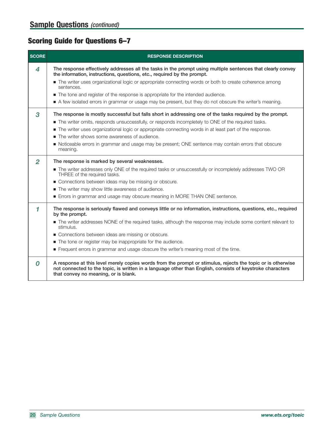# **Scoring Guide for Questions 6–7**

| <b>SCORE</b>   | <b>RESPONSE DESCRIPTION</b>                                                                                                                                                                                                                                      |
|----------------|------------------------------------------------------------------------------------------------------------------------------------------------------------------------------------------------------------------------------------------------------------------|
| 4              | The response effectively addresses all the tasks in the prompt using multiple sentences that clearly convey<br>the information, instructions, questions, etc., required by the prompt.                                                                           |
|                | The writer uses organizational logic or appropriate connecting words or both to create coherence among<br>sentences.                                                                                                                                             |
|                | • The tone and register of the response is appropriate for the intended audience.                                                                                                                                                                                |
|                | A few isolated errors in grammar or usage may be present, but they do not obscure the writer's meaning.                                                                                                                                                          |
| 3              | The response is mostly successful but falls short in addressing one of the tasks required by the prompt.                                                                                                                                                         |
|                | The writer omits, responds unsuccessfully, or responds incompletely to ONE of the required tasks.                                                                                                                                                                |
|                | The writer uses organizational logic or appropriate connecting words in at least part of the response.                                                                                                                                                           |
|                | • The writer shows some awareness of audience.                                                                                                                                                                                                                   |
|                | • Noticeable errors in grammar and usage may be present; ONE sentence may contain errors that obscure<br>meaning.                                                                                                                                                |
| $\overline{2}$ | The response is marked by several weaknesses.                                                                                                                                                                                                                    |
|                | The writer addresses only ONE of the required tasks or unsuccessfully or incompletely addresses TWO OR<br>THREE of the required tasks.                                                                                                                           |
|                | Connections between ideas may be missing or obscure.                                                                                                                                                                                                             |
|                | The writer may show little awareness of audience.                                                                                                                                                                                                                |
|                | Errors in grammar and usage may obscure meaning in MORE THAN ONE sentence.                                                                                                                                                                                       |
| 1              | The response is seriously flawed and conveys little or no information, instructions, questions, etc., required<br>by the prompt.                                                                                                                                 |
|                | The writer addresses NONE of the required tasks, although the response may include some content relevant to<br>stimulus.                                                                                                                                         |
|                | Connections between ideas are missing or obscure.                                                                                                                                                                                                                |
|                | The tone or register may be inappropriate for the audience.                                                                                                                                                                                                      |
|                | Frequent errors in grammar and usage obscure the writer's meaning most of the time.                                                                                                                                                                              |
| 0              | A response at this level merely copies words from the prompt or stimulus, rejects the topic or is otherwise<br>not connected to the topic, is written in a language other than English, consists of keystroke characters<br>that convey no meaning, or is blank. |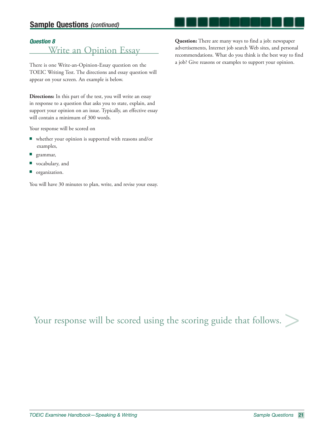# **Sample Questions (continued)**

#### *Question 8*

Write an Opinion Essay

There is one Write-an-Opinion-Essay question on the TOEIC Writing Test. The directions and essay question will appear on your screen. An example is below.

**Directions:** In this part of the test, you will write an essay in response to a question that asks you to state, explain, and support your opinion on an issue. Typically, an effective essay will contain a minimum of 300 words.

Your response will be scored on

- whether your opinion is supported with reasons and/or examples,
- grammar,
- vocabulary, and
- organization.

You will have 30 minutes to plan, write, and revise your essay.

**Question:** There are many ways to find a job: newspaper advertisements, Internet job search Web sites, and personal recommendations. What do you think is the best way to find a job? Give reasons or examples to support your opinion.

Your response will be scored using the scoring guide that follows.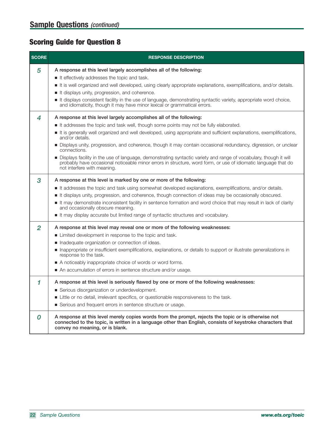# **Scoring Guide for Question 8**

| <b>SCORE</b> | <b>RESPONSE DESCRIPTION</b>                                                                                                                                                                                                                                        |
|--------------|--------------------------------------------------------------------------------------------------------------------------------------------------------------------------------------------------------------------------------------------------------------------|
| 5            | A response at this level largely accomplishes all of the following:                                                                                                                                                                                                |
|              | It effectively addresses the topic and task.                                                                                                                                                                                                                       |
|              | It is well organized and well developed, using clearly appropriate explanations, exemplifications, and/or details.                                                                                                                                                 |
|              | It displays unity, progression, and coherence.                                                                                                                                                                                                                     |
|              | It displays consistent facility in the use of language, demonstrating syntactic variety, appropriate word choice,<br>and idiomaticity, though it may have minor lexical or grammatical errors.                                                                     |
| 4            | A response at this level largely accomplishes all of the following:                                                                                                                                                                                                |
|              | It addresses the topic and task well, though some points may not be fully elaborated.                                                                                                                                                                              |
|              | It is generally well organized and well developed, using appropriate and sufficient explanations, exemplifications,<br>and/or details.                                                                                                                             |
|              | ■ Displays unity, progression, and coherence, though it may contain occasional redundancy, digression, or unclear<br>connections.                                                                                                                                  |
|              | Displays facility in the use of language, demonstrating syntactic variety and range of vocabulary, though it will<br>probably have occasional noticeable minor errors in structure, word form, or use of idiomatic language that do<br>not interfere with meaning. |
| 3            | A response at this level is marked by one or more of the following:                                                                                                                                                                                                |
|              | It addresses the topic and task using somewhat developed explanations, exemplifications, and/or details.                                                                                                                                                           |
|              | It displays unity, progression, and coherence, though connection of ideas may be occasionally obscured.                                                                                                                                                            |
|              | It may demonstrate inconsistent facility in sentence formation and word choice that may result in lack of clarity<br>and occasionally obscure meaning.                                                                                                             |
|              | It may display accurate but limited range of syntactic structures and vocabulary.                                                                                                                                                                                  |
| 2            | A response at this level may reveal one or more of the following weaknesses:                                                                                                                                                                                       |
|              | Limited development in response to the topic and task.                                                                                                                                                                                                             |
|              | Inadequate organization or connection of ideas.                                                                                                                                                                                                                    |
|              | Inappropriate or insufficient exemplifications, explanations, or details to support or illustrate generalizations in<br>response to the task.                                                                                                                      |
|              | A noticeably inappropriate choice of words or word forms.                                                                                                                                                                                                          |
|              | An accumulation of errors in sentence structure and/or usage.                                                                                                                                                                                                      |
| 1            | A response at this level is seriously flawed by one or more of the following weaknesses:                                                                                                                                                                           |
|              | Serious disorganization or underdevelopment.                                                                                                                                                                                                                       |
|              | • Little or no detail, irrelevant specifics, or questionable responsiveness to the task.                                                                                                                                                                           |
|              | Serious and frequent errors in sentence structure or usage.                                                                                                                                                                                                        |
| 0            | A response at this level merely copies words from the prompt, rejects the topic or is otherwise not<br>connected to the topic, is written in a language other than English, consists of keystroke characters that<br>convey no meaning, or is blank.               |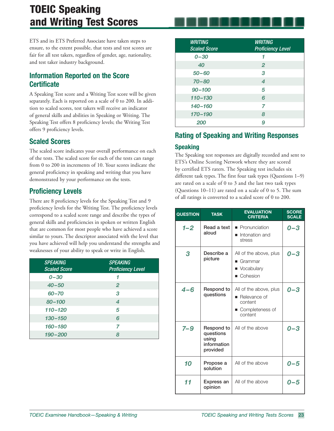# **TOEIC Speaking and Writing Test Scores**

ETS and its ETS Preferred Associate have taken steps to ensure, to the extent possible, that tests and test scores are fair for all test takers, regardless of gender, age, nationality, and test taker industry background.

# **Information Reported on the Score Certificate**

A Speaking Test score and a Writing Test score will be given separately. Each is reported on a scale of 0 to 200. In addition to scaled scores, test takers will receive an indicator of general skills and abilities in Speaking or Writing. The Speaking Test offers 8 proficiency levels; the Writing Test offers 9 proficiency levels.

# **Scaled Scores**

The scaled score indicates your overall performance on each of the tests. The scaled score for each of the tests can range from 0 to 200 in increments of 10. Your scores indicate the general proficiency in speaking and writing that you have demonstrated by your performance on the tests.

# **Proficiency Levels**

There are 8 proficiency levels for the Speaking Test and 9 proficiency levels for the Writing Test. The proficiency levels correspond to a scaled score range and describe the types of general skills and proficiencies in spoken or written English that are common for most people who have achieved a score similar to yours. The descriptor associated with the level that you have achieved will help you understand the strengths and weaknesses of your ability to speak or write in English.

| <b>SPEAKING</b><br><b>Scaled Score</b> | <b>SPEAKING</b><br><b>Proficiency Level</b> |
|----------------------------------------|---------------------------------------------|
| $0 - 30$                               |                                             |
| $40 - 50$                              | $\overline{2}$                              |
| $60 - 70$                              | 3                                           |
| $80 - 100$                             | 4                                           |
| $110 - 120$                            | 5                                           |
| $130 - 150$                            | 6                                           |
| 160-180                                | 7                                           |
| $190 - 200$                            | 8                                           |

| <b>WRITING</b><br><b>Scaled Score</b> | <b>WRITING</b><br><b>Proficiency Level</b> |
|---------------------------------------|--------------------------------------------|
| $0 - 30$                              | 1                                          |
| 40                                    | $\overline{2}$                             |
| $50 - 60$                             | 3                                          |
| $70 - 80$                             | 4                                          |
| $90 - 100$                            | 5                                          |
| $110 - 130$                           | 6                                          |
| $140 - 160$                           | 7                                          |
| 170-190                               | 8                                          |
| 200                                   | 9                                          |

# **Rating of Speaking and Writing Responses**

### **Speaking**

The Speaking test responses are digitally recorded and sent to ETS's Online Scoring Network where they are scored by certified ETS raters. The Speaking test includes six different task types. The first four task types (Questions 1–9) are rated on a scale of 0 to 3 and the last two task types (Questions 10–11) are rated on a scale of 0 to 5. The sum of all ratings is converted to a scaled score of 0 to 200.

| <b>QUESTION</b> | <b>TASK</b>                                                 | <b>EVALUATION</b><br><b>CRITERIA</b>                                                             | <b>SCORE</b><br><b>SCALE</b> |
|-----------------|-------------------------------------------------------------|--------------------------------------------------------------------------------------------------|------------------------------|
| $1 - 2$         | Read a text<br>aloud                                        | • Pronunciation<br>Intonation and<br>stress                                                      | $0 - 3$                      |
| 3               | Describe a<br>picture                                       | All of the above, plus<br>$\blacksquare$ Grammar<br>• Vocabulary<br>■ Cohesion                   | 0–3                          |
| $4 - 6$         | Respond to<br>questions                                     | All of the above, plus<br>$\blacksquare$ Relevance of<br>content<br>■ Completeness of<br>content | 0–3                          |
| $7 - 9$         | Respond to<br>questions<br>using<br>information<br>provided | All of the above                                                                                 | $0 - 3$                      |
| 10              | Propose a<br>solution                                       | All of the above                                                                                 | $0 - 5$                      |
| 11              | Express an<br>opinion                                       | All of the above                                                                                 | $0 - 5$                      |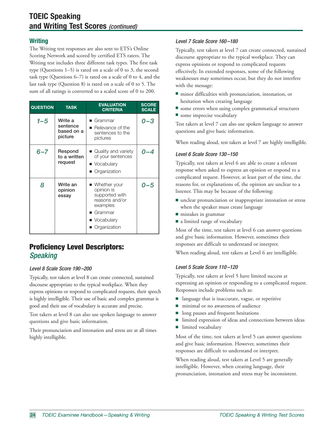#### **Writing**

The Writing test responses are also sent to ETS's Online Scoring Network and scored by certified ETS raters. The Writing test includes three different task types. The first task type (Questions 1–5) is rated on a scale of 0 to 3, the second task type (Questions 6–7) is rated on a scale of 0 to 4, and the last task type (Question 8) is rated on a scale of 0 to 5. The sum of all ratings is converted to a scaled score of 0 to 200.

| <b>QUESTION</b> | <b>TASK</b>                                  | <b>EVALUATION</b><br><b>CRITERIA</b>                                                                                    | <b>SCORE</b><br><b>SCALE</b> |
|-----------------|----------------------------------------------|-------------------------------------------------------------------------------------------------------------------------|------------------------------|
| $1 - 5$         | Write a<br>sentence<br>based on a<br>picture | $\blacksquare$ Grammar<br>Relevance of the<br>sentences to the<br>pictures                                              | 0–3                          |
| $6 - 7$         | Respond<br>to a written<br>request           | ■ Quality and variety<br>of your sentences<br>■ Vocabulary<br>■ Organization                                            | 0–4                          |
| 8               | Write an<br>opinion<br>essay                 | Whether your<br>opinion is<br>supported with<br>reasons and/or<br>examples<br>Grammar<br>■ Vocabulary<br>■ Organization | $0 - 5$                      |

# **Proficiency Level Descriptors: Speaking**

#### Level 8 Scale Score 190 –200

Typically, test takers at level 8 can create connected, sustained discourse appropriate to the typical workplace. When they express opinions or respond to complicated requests, their speech is highly intelligible. Their use of basic and complex grammar is good and their use of vocabulary is accurate and precise.

Test takers at level 8 can also use spoken language to answer questions and give basic information.

Their pronunciation and intonation and stress are at all times highly intelligible.

#### Level 7 Scale Score 160 –180

Typically, test takers at level 7 can create connected, sustained discourse appropriate to the typical workplace. They can express opinions or respond to complicated requests effectively. In extended responses, some of the following weaknesses may sometimes occur, but they do not interfere with the message:

- minor difficulties with pronunciation, intonation, or hesitation when creating language
- some errors when using complex grammatical structures ■ some imprecise vocabulary

Test takers at level 7 can also use spoken language to answer questions and give basic information.

When reading aloud, test takers at level 7 are highly intelligible.

#### Level 6 Scale Score 130 –150

Typically, test takers at level 6 are able to create a relevant response when asked to express an opinion or respond to a complicated request. However, at least part of the time, the reasons for, or explanations of, the opinion are unclear to a listener. This may be because of the following:

- unclear pronunciation or inappropriate intonation or stress when the speaker must create language
- mistakes in grammar
- a limited range of vocabulary

Most of the time, test takers at level 6 can answer questions and give basic information. However, sometimes their responses are difficult to understand or interpret.

When reading aloud, test takers at Level 6 are intelligible.

#### Level 5 Scale Score 110 –120

Typically, test takers at level 5 have limited success at expressing an opinion or responding to a complicated request. Responses include problems such as:

- language that is inaccurate, vague, or repetitive
- minimal or no awareness of audience
- long pauses and frequent hesitations
- limited expression of ideas and connections between ideas
- limited vocabulary

Most of the time, test takers at level 5 can answer questions and give basic information. However, sometimes their responses are difficult to understand or interpret.

When reading aloud, test takers at Level 5 are generally intelligible. However, when creating language, their pronunciation, intonation and stress may be inconsistent.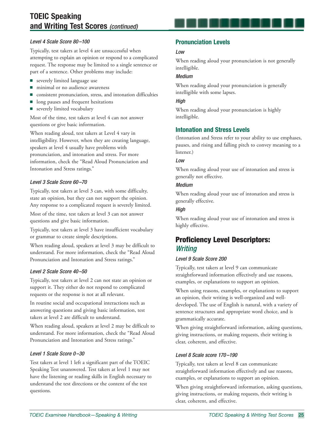# **TOEIC Speaking and Writing Test Scores** (continued)

#### Level 4 Scale Score 80 –100

Typically, test takers at level 4 are unsuccessful when attempting to explain an opinion or respond to a complicated request. The response may be limited to a single sentence or part of a sentence. Other problems may include:

- severely limited language use
- minimal or no audience awareness
- consistent pronunciation, stress, and intonation difficulties
- long pauses and frequent hesitations
- severely limited vocabulary

Most of the time, test takers at level 4 can not answer questions or give basic information.

When reading aloud, test takers at Level 4 vary in intelligibility. However, when they are creating language, speakers at level 4 usually have problems with pronunciation, and intonation and stress. For more information, check the "Read Aloud Pronunciation and Intonation and Stress ratings."

#### Level 3 Scale Score 60 –70

Typically, test takers at level 3 can, with some difficulty, state an opinion, but they can not support the opinion. Any response to a complicated request is severely limited.

Most of the time, test takers at level 3 can not answer questions and give basic information.

Typically, test takers at level 3 have insufficient vocabulary or grammar to create simple descriptions.

When reading aloud, speakers at level 3 may be difficult to understand. For more information, check the "Read Aloud Pronunciation and Intonation and Stress ratings."

#### Level 2 Scale Score 40 –50

Typically, test takers at level 2 can not state an opinion or support it. They either do not respond to complicated requests or the response is not at all relevant.

In routine social and occupational interactions such as answering questions and giving basic information, test takers at level 2 are difficult to understand.

When reading aloud, speakers at level 2 may be difficult to understand. For more information, check the "Read Aloud Pronunciation and Intonation and Stress ratings."

#### Level 1 Scale Score 0-30

Test takers at level 1 left a significant part of the TOEIC Speaking Test unanswered. Test takers at level 1 may not have the listening or reading skills in English necessary to understand the test directions or the content of the test questions.

#### **Pronunciation Levels**

#### Low

When reading aloud your pronunciation is not generally intelligible.

#### Medium

When reading aloud your pronunciation is generally intelligible with some lapses.

#### High

When reading aloud your pronunciation is highly intelligible.

#### **Intonation and Stress Levels**

(Intonation and Stress refer to your ability to use emphases, pauses, and rising and falling pitch to convey meaning to a listener.)

#### Low

When reading aloud your use of intonation and stress is generally not effective.

#### Medium

When reading aloud your use of intonation and stress is generally effective.

#### **High**

When reading aloud your use of intonation and stress is highly effective.

# **Proficiency Level Descriptors: Writing**

#### Level 9 Scale Score 200

Typically, test takers at level 9 can communicate straightforward information effectively and use reasons, examples, or explanations to support an opinion.

When using reasons, examples, or explanations to support an opinion, their writing is well-organized and welldeveloped. The use of English is natural, with a variety of sentence structures and appropriate word choice, and is grammatically accurate.

When giving straightforward information, asking questions, giving instructions, or making requests, their writing is clear, coherent, and effective.

#### Level 8 Scale score 170 –190

Typically, test takers at level 8 can communicate straightforward information effectively and use reasons, examples, or explanations to support an opinion.

When giving straightforward information, asking questions, giving instructions, or making requests, their writing is clear, coherent, and effective.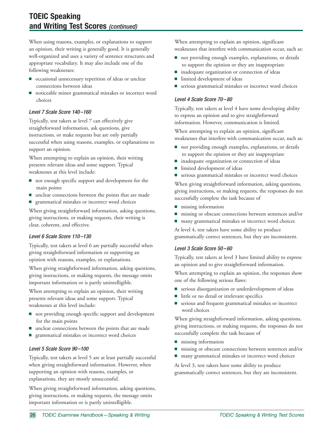When using reasons, examples, or explanations to support an opinion, their writing is generally good. It is generally well-organized and uses a variety of sentence structures and appropriate vocabulary. It may also include one of the following weaknesses:

- occasional unnecessary repetition of ideas or unclear connections between ideas
- noticeable minor grammatical mistakes or incorrect word choices

#### Level 7 Scale Score 140 –160

Typically, test takers at level 7 can effectively give straightforward information, ask questions, give instructions, or make requests but are only partially successful when using reasons, examples, or explanations to support an opinion.

When attempting to explain an opinion, their writing presents relevant ideas and some support. Typical weaknesses at this level include:

- not enough specific support and development for the main points
- unclear connections between the points that are made
- grammatical mistakes or incorrect word choices

When giving straightforward information, asking questions, giving instructions, or making requests, their writing is clear, coherent, and effective.

#### Level 6 Scale Score 110-130

Typically, test takers at level 6 are partially successful when giving straightforward information or supporting an opinion with reasons, examples, or explanations.

When giving straightforward information, asking questions, giving instructions, or making requests, the message omits important information or is partly unintelligible.

When attempting to explain an opinion, their writing presents relevant ideas and some support. Typical weaknesses at this level include:

- not providing enough specific support and development for the main points
- unclear connections between the points that are made
- grammatical mistakes or incorrect word choices

#### Level 5 Scale Score 90 –100

Typically, test takers at level 5 are at least partially successful when giving straightforward information. However, when supporting an opinion with reasons, examples, or explanations, they are mostly unsuccessful.

When giving straightforward information, asking questions, giving instructions, or making requests, the message omits important information or is partly unintelligible.

When attempting to explain an opinion, significant weaknesses that interfere with communication occur, such as:

- not providing enough examples, explanations, or details to support the opinion or they are inappropriate
- inadequate organization or connection of ideas
- limited development of ideas
- serious grammatical mistakes or incorrect word choices

#### Level 4 Scale Score 70-80

Typically, test takers at level 4 have some developing ability to express an opinion and to give straightforward information. However, communication is limited.

When attempting to explain an opinion, significant weaknesses that interfere with communication occur, such as:

- not providing enough examples, explanations, or details to support the opinion or they are inappropriate
- inadequate organization or connection of ideas
- limited development of ideas
- serious grammatical mistakes or incorrect word choices

When giving straightforward information, asking questions, giving instructions, or making requests, the responses do not successfully complete the task because of

- missing information
- missing or obscure connections between sentences and/or
- many grammatical mistakes or incorrect word choices

At level 4, test takers have some ability to produce grammatically correct sentences, but they are inconsistent.

#### Level 3 Scale Score 50 – 60

Typically, test takers at level 3 have limited ability to express an opinion and to give straightforward information.

When attempting to explain an opinion, the responses show one of the following serious flaws:

- serious disorganization or underdevelopment of ideas
- little or no detail or irrelevant specifics
- serious and frequent grammatical mistakes or incorrect word choices

When giving straightforward information, asking questions, giving instructions, or making requests, the responses do not successfully complete the task because of

- missing information
- missing or obscure connections between sentences and/or
- many grammatical mistakes or incorrect word choices

At level 3, test takers have some ability to produce grammatically correct sentences, but they are inconsistent.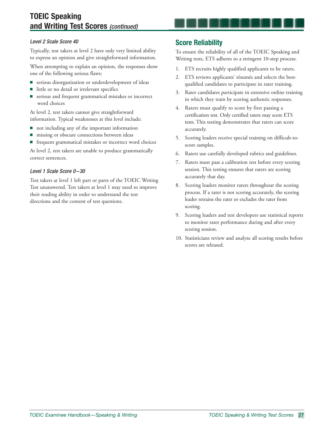#### Level 2 Scale Score 40

Typically, test takers at level 2 have only very limited ability to express an opinion and give straightforward information.

When attempting to explain an opinion, the responses show one of the following serious flaws:

- serious disorganization or underdevelopment of ideas
- little or no detail or irrelevant specifics
- serious and frequent grammatical mistakes or incorrect word choices

At level 2, test takers cannot give straightforward information. Typical weaknesses at this level include:

- not including any of the important information
- missing or obscure connections between ideas
- frequent grammatical mistakes or incorrect word choices

At level 2, test takers are unable to produce grammatically correct sentences.

#### Level 1 Scale Score 0-30

Test takers at level 1 left part or parts of the TOEIC Writing Test unanswered. Test takers at level 1 may need to improve their reading ability in order to understand the test directions and the content of test questions.

### **Score Reliability**

To ensure the reliability of all of the TOEIC Speaking and Writing tests, ETS adheres to a stringent 10-step process:

- 1. ETS recruits highly qualified applicants to be raters.
- 2. ETS reviews applicants' résumés and selects the bestqualified candidates to participate in rater training.
- 3. Rater candidates participate in extensive online training in which they train by scoring authentic responses.
- 4. Raters must qualify to score by first passing a certification test. Only certified raters may score ETS tests. This testing demonstrates that raters can score accurately.
- 5. Scoring leaders receive special training on difficult-toscore samples.
- 6. Raters use carefully developed rubrics and guidelines.
- 7. Raters must pass a calibration test before every scoring session. This testing ensures that raters are scoring accurately that day.
- 8. Scoring leaders monitor raters throughout the scoring process. If a rater is not scoring accurately, the scoring leader retrains the rater or excludes the rater from scoring.
- 9. Scoring leaders and test developers use statistical reports to monitor rater performance during and after every scoring session.
- 10. Statisticians review and analyze all scoring results before scores are released.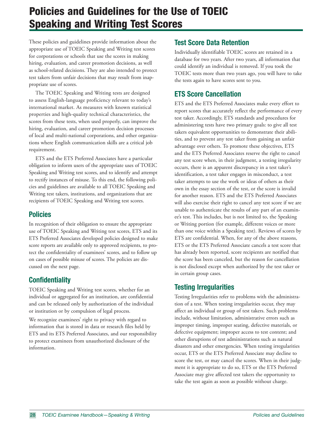# **Policies and Guidelines for the Use of TOEIC Speaking and Writing Test Scores**

These policies and guidelines provide information about the appropriate use of TOEIC Speaking and Writing test scores for corporations or schools that use the scores in making hiring, evaluation, and career promotion decisions, as well as school-related decisions. They are also intended to protect test takers from unfair decisions that may result from inappropriate use of scores.

The TOEIC Speaking and Writing tests are designed to assess English-language proficiency relevant to today's international market. As measures with known statistical properties and high-quality technical characteristics, the scores from these tests, when used properly, can improve the hiring, evaluation, and career promotion decision processes of local and multi-national corporations, and other organizations where English communication skills are a critical job requirement.

ETS and the ETS Preferred Associates have a particular obligation to inform users of the appropriate uses of TOEIC Speaking and Writing test scores, and to identify and attempt to rectify instances of misuse. To this end, the following policies and guidelines are available to all TOEIC Speaking and Writing test takers, institutions, and organizations that are recipients of TOEIC Speaking and Writing test scores.

### **Policies**

In recognition of their obligation to ensure the appropriate use of TOEIC Speaking and Writing test scores, ETS and its ETS Preferred Associates developed policies designed to make score reports are available only to approved recipients, to protect the confidentiality of examinees' scores, and to follow up on cases of possible misuse of scores. The policies are discussed on the next page.

# **Confidentiality**

TOEIC Speaking and Writing test scores, whether for an individual or aggregated for an institution, are confidential and can be released only by authorization of the individual or institution or by compulsion of legal process.

We recognize examinees' right to privacy with regard to information that is stored in data or research files held by ETS and its ETS Preferred Associates, and our responsibility to protect examinees from unauthorized disclosure of the information.

# **Test Score Data Retention**

Individually identifiable TOEIC scores are retained in a database for two years. After two years, all information that could identify an individual is removed. If you took the TOEIC tests more than two years ago, you will have to take the tests again to have scores sent to you.

# **ETS Score Cancellation**

ETS and the ETS Preferred Associates make every effort to report scores that accurately reflect the performance of every test taker. Accordingly, ETS standards and procedures for administering tests have two primary goals: to give all test takers equivalent opportunities to demonstrate their abilities, and to prevent any test taker from gaining an unfair advantage over others. To promote these objectives, ETS and the ETS Preferred Associates reserve the right to cancel any test score when, in their judgment, a testing irregularity occurs, there is an apparent discrepancy in a test taker's identification, a test taker engages in misconduct, a test taker attempts to use the work or ideas of others as their own in the essay section of the test, or the score is invalid for another reason. ETS and the ETS Preferred Associates will also exercise their right to cancel any test score if we are unable to authenticate the results of any part of an examinee's test. This includes, but is not limited to, the Speaking or Writing portion (for example, different voices or more than one voice within a Speaking test). Reviews of scores by ETS are confidential. When, for any of the above reasons, ETS or the ETS Preferred Associate cancels a test score that has already been reported, score recipients are notified that the score has been canceled, but the reason for cancellation is not disclosed except when authorized by the test taker or in certain group cases.

# **Testing Irregularities**

Testing Irregularities refer to problems with the administration of a test. When testing irregularities occur, they may affect an individual or group of test takers. Such problems include, without limitation, administrative errors such as improper timing, improper seating, defective materials, or defective equipment; improper access to test content; and other disruptions of test administrations such as natural disasters and other emergencies. When testing irregularities occur, ETS or the ETS Preferred Associate may decline to score the test, or may cancel the scores. When in their judgment it is appropriate to do so, ETS or the ETS Preferred Associate may give affected test takers the opportunity to take the test again as soon as possible without charge.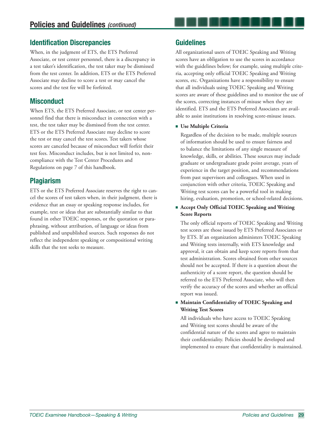### **Identification Discrepancies**

When, in the judgment of ETS, the ETS Preferred Associate, or test center personnel, there is a discrepancy in a test taker's identification, the test taker may be dismissed from the test center. In addition, ETS or the ETS Preferred Associate may decline to score a test or may cancel the scores and the test fee will be forfeited.

### **Misconduct**

When ETS, the ETS Preferred Associate, or test center personnel find that there is misconduct in connection with a test, the test taker may be dismissed from the test center. ETS or the ETS Preferred Associate may decline to score the test or may cancel the test scores. Test takers whose scores are canceled because of misconduct will forfeit their test fees. Misconduct includes, but is not limited to, noncompliance with the Test Center Procedures and Regulations on page 7 of this handbook.

# **Plagiarism**

ETS or the ETS Preferred Associate reserves the right to cancel the scores of test takers when, in their judgment, there is evidence that an essay or speaking response includes, for example, text or ideas that are substantially similar to that found in other TOEIC responses, or the quotation or paraphrasing, without attribution, of language or ideas from published and unpublished sources. Such responses do not reflect the independent speaking or compositional writing skills that the test seeks to measure.

### **Guidelines**

All organizational users of TOEIC Speaking and Writing scores have an obligation to use the scores in accordance with the guidelines below; for example, using multiple criteria, accepting only official TOEIC Speaking and Writing scores, etc. Organizations have a responsibility to ensure that all individuals using TOEIC Speaking and Writing scores are aware of these guidelines and to monitor the use of the scores, correcting instances of misuse when they are identified. ETS and the ETS Preferred Associates are available to assist institutions in resolving score-misuse issues.

#### ◾ **Use Multiple Criteria**

Regardless of the decision to be made, multiple sources of information should be used to ensure fairness and to balance the limitations of any single measure of knowledge, skills, or abilities. These sources may include graduate or undergraduate grade point average, years of experience in the target position, and recommendations from past supervisors and colleagues. When used in conjunction with other criteria, TOEIC Speaking and Writing test scores can be a powerful tool in making hiring, evaluation, promotion, or school-related decisions.

#### ■ Accept Only Official TOEIC Speaking and Writing **Score Reports**

 The only official reports of TOEIC Speaking and Writing test scores are those issued by ETS Preferred Associates or by ETS. If an organization administers TOEIC Speaking and Writing tests internally, with ETS knowledge and approval, it can obtain and keep score reports from that test administration. Scores obtained from other sources should not be accepted. If there is a question about the authenticity of a score report, the question should be referred to the ETS Preferred Associate, who will then verify the accuracy of the scores and whether an official report was issued.

#### ■ Maintain Confidentiality of TOEIC Speaking and **Writing Test Scores**

All individuals who have access to TOEIC Speaking and Writing test scores should be aware of the confidential nature of the scores and agree to maintain their confidentiality. Policies should be developed and implemented to ensure that confidentiality is maintained.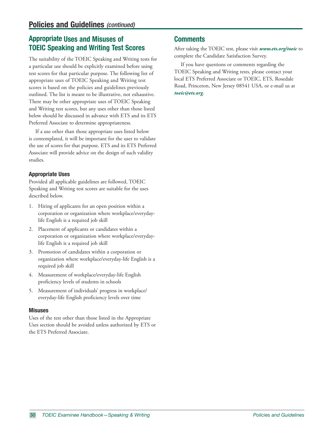# **Appropriate Uses and Misuses of TOEIC Speaking and Writing Test Scores**

The suitability of the TOEIC Speaking and Writing tests for a particular use should be explicitly examined before using test scores for that particular purpose. The following list of appropriate uses of TOEIC Speaking and Writing test scores is based on the policies and guidelines previously outlined. The list is meant to be illustrative, not exhaustive. There may be other appropriate uses of TOEIC Speaking and Writing test scores, but any uses other than those listed below should be discussed in advance with ETS and its ETS Preferred Associate to determine appropriateness.

If a use other than those appropriate uses listed below is contemplated, it will be important for the user to validate the use of scores for that purpose. ETS and its ETS Preferred Associate will provide advice on the design of such validity studies.

#### **Appropriate Uses**

Provided all applicable guidelines are followed, TOEIC Speaking and Writing test scores are suitable for the uses described below.

- 1. Hiring of applicants for an open position within a corporation or organization where workplace/everydaylife English is a required job skill
- 2. Placement of applicants or candidates within a corporation or organization where workplace/everydaylife English is a required job skill
- 3. Promotion of candidates within a corporation or organization where workplace/everyday-life English is a required job skill
- 4. Measurement of workplace/everyday-life English proficiency levels of students in schools
- 5. Measurement of individuals' progress in workplace/ everyday-life English proficiency levels over time

#### **Misuses**

Uses of the test other than those listed in the Appropriate Uses section should be avoided unless authorized by ETS or the ETS Preferred Associate.

### **Comments**

After taking the TOEIC test, please visit *www.ets.org/toeic* to complete the Candidate Satisfaction Survey.

If you have questions or comments regarding the TOEIC Speaking and Writing tests, please contact your local ETS Preferred Associate or TOEIC, ETS, Rosedale Road, Princeton, New Jersey 08541 USA, or e-mail us at *toeic@ets.org*.